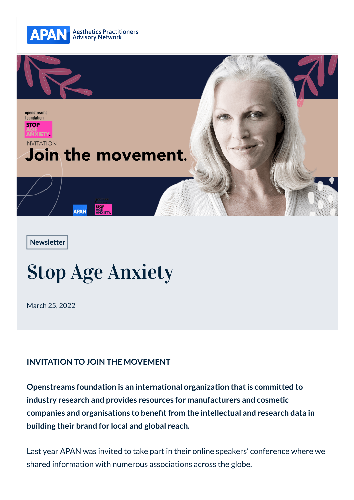



**[Newsletter](https://apanetwork.com/category/newsletter)**

## Stop Age Anxiety

March 25, 2022

## **INVITATION TO JOIN THE MOVEMENT**

**Openstreams foundation is an international organization that is committed to industry research and provides resources for manufacturers and cosmetic companies and organisations to benefit from the intellectual and research data in building their brand for local and global reach.**

Last year APAN was invited to take part in their online speakers' conference where we [shared](mailto:info@apanetwork.com) information with n[umerou](https://maps.google.com/?daddr=7%2F76+Robina+Town+Centre+Drive+Robina+4226)s associations acro[ss the gl](tel:+61755930360)obe.